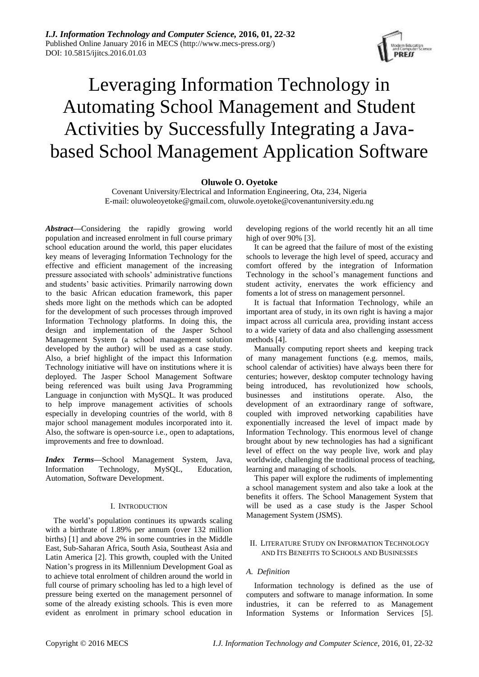

# Leveraging Information Technology in Automating School Management and Student Activities by Successfully Integrating a Javabased School Management Application Software

# **Oluwole O. Oyetoke**

Covenant University/Electrical and Information Engineering, Ota, 234, Nigeria E-mail: oluwoleoyetoke@gmail.com, oluwole.oyetoke@covenantuniversity.edu.ng

*Abstract***—**Considering the rapidly growing world population and increased enrolment in full course primary school education around the world, this paper elucidates key means of leveraging Information Technology for the effective and efficient management of the increasing pressure associated with schools' administrative functions and students' basic activities. Primarily narrowing down to the basic African education framework, this paper sheds more light on the methods which can be adopted for the development of such processes through improved Information Technology platforms. In doing this, the design and implementation of the Jasper School Management System (a school management solution developed by the author) will be used as a case study. Also, a brief highlight of the impact this Information Technology initiative will have on institutions where it is deployed. The Jasper School Management Software being referenced was built using Java Programming Language in conjunction with MySQL. It was produced to help improve management activities of schools especially in developing countries of the world, with 8 major school management modules incorporated into it. Also, the software is open-source i.e., open to adaptations, improvements and free to download.

*Index Terms***—**School Management System, Java, Information Technology, MySQL, Education, Automation, Software Development.

#### I. INTRODUCTION

The world's population continues its upwards scaling with a birthrate of 1.89% per annum (over 132 million births) [1] and above 2% in some countries in the Middle East, Sub-Saharan Africa, South Asia, Southeast Asia and Latin America [2]. This growth, coupled with the United Nation's progress in its Millennium Development Goal as to achieve total enrolment of children around the world in full course of primary schooling has led to a high level of pressure being exerted on the management personnel of some of the already existing schools. This is even more evident as enrolment in primary school education in

developing regions of the world recently hit an all time high of over 90% [3].

It can be agreed that the failure of most of the existing schools to leverage the high level of speed, accuracy and comfort offered by the integration of Information Technology in the school's management functions and student activity, enervates the work efficiency and foments a lot of stress on management personnel.

It is factual that Information Technology, while an important area of study, in its own right is having a major impact across all curricula area, providing instant access to a wide variety of data and also challenging assessment methods [4].

Manually computing report sheets and keeping track of many management functions (e.g. memos, mails, school calendar of activities) have always been there for centuries; however, desktop computer technology having being introduced, has revolutionized how schools, businesses and institutions operate. Also, the development of an extraordinary range of software, coupled with improved networking capabilities have exponentially increased the level of impact made by Information Technology. This enormous level of change brought about by new technologies has had a significant level of effect on the way people live, work and play worldwide, challenging the traditional process of teaching, learning and managing of schools.

This paper will explore the rudiments of implementing a school management system and also take a look at the benefits it offers. The School Management System that will be used as a case study is the Jasper School Management System (JSMS).

# II. LITERATURE STUDY ON INFORMATION TECHNOLOGY AND ITS BENEFITS TO SCHOOLS AND BUSINESSES

# *A. Definition*

Information technology is defined as the use of computers and software to manage information. In some industries, it can be referred to as Management Information Systems or Information Services [5].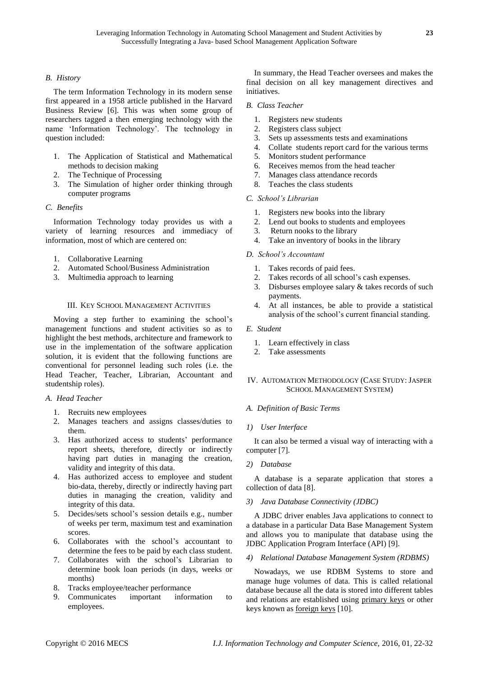# *B. History*

The term Information Technology in its modern sense first appeared in a 1958 article published in the Harvard Business Review [6]. This was when some group of researchers tagged a then emerging technology with the name 'Information Technology'. The technology in question included:

- 1. The Application of Statistical and Mathematical methods to decision making
- 2. The Technique of Processing
- 3. The Simulation of higher order thinking through computer programs

#### *C. Benefits*

Information Technology today provides us with a variety of learning resources and immediacy of information, most of which are centered on:

- 1. Collaborative Learning
- 2. Automated School/Business Administration
- 3. Multimedia approach to learning

# III. KEY SCHOOL MANAGEMENT ACTIVITIES

Moving a step further to examining the school's management functions and student activities so as to highlight the best methods, architecture and framework to use in the implementation of the software application solution, it is evident that the following functions are conventional for personnel leading such roles (i.e. the Head Teacher, Teacher, Librarian, Accountant and studentship roles).

#### *A. Head Teacher*

- 1. Recruits new employees
- 2. Manages teachers and assigns classes/duties to them.
- 3. Has authorized access to students' performance report sheets, therefore, directly or indirectly having part duties in managing the creation, validity and integrity of this data.
- 4. Has authorized access to employee and student bio-data, thereby, directly or indirectly having part duties in managing the creation, validity and integrity of this data.
- 5. Decides/sets school's session details e.g., number of weeks per term, maximum test and examination scores.
- 6. Collaborates with the school's accountant to determine the fees to be paid by each class student.
- 7. Collaborates with the school's Librarian to determine book loan periods (in days, weeks or months)
- 8. Tracks employee/teacher performance
- 9. Communicates important information to employees.

In summary, the Head Teacher oversees and makes the final decision on all key management directives and initiatives.

#### *B. Class Teacher*

- 1. Registers new students
- 2. Registers class subject
- 3. Sets up assessments tests and examinations
- 4. Collate students report card for the various terms
- 5. Monitors student performance
- 6. Receives memos from the head teacher
- 7. Manages class attendance records
- 8. Teaches the class students

## *C. School's Librarian*

- 1. Registers new books into the library
- 2. Lend out books to students and employees
- 3. Return nooks to the library
- 4. Take an inventory of books in the library

#### *D. School's Accountant*

- 1. Takes records of paid fees.
- 2. Takes records of all school's cash expenses.
- 3. Disburses employee salary & takes records of such payments.
- 4. At all instances, be able to provide a statistical analysis of the school's current financial standing.

### *E. Student*

- 1. Learn effectively in class
- 2. Take assessments

# IV. AUTOMATION METHODOLOGY (CASE STUDY: JASPER SCHOOL MANAGEMENT SYSTEM)

# *A. Definition of Basic Terms*

#### *1) User Interface*

It can also be termed a visual way of interacting with a computer [7].

# *2) Database*

A database is a separate application that stores a collection of data [8].

# *3) Java Database Connectivity (JDBC)*

A JDBC driver enables Java applications to connect to a database in a particular Data Base Management System and allows you to manipulate that database using the JDBC Application Program Interface (API) [9].

#### *4) Relational Database Management System (RDBMS)*

Nowadays, we use RDBM Systems to store and manage huge volumes of data. This is called relational database because all the data is stored into different tables and relations are established using primary keys or other keys known as foreign keys [10].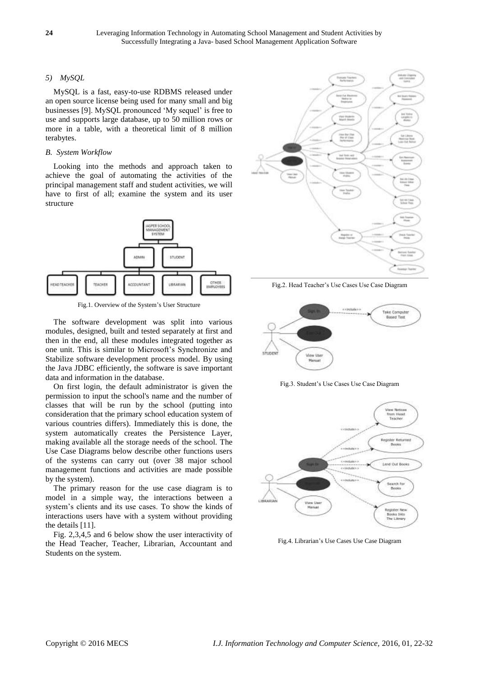# *5) MySQL*

MySQL is a fast, easy-to-use RDBMS released under an open source license being used for many small and big businesses [9]. MySQL pronounced 'My sequel' is free to use and supports large database, up to 50 million rows or more in a table, with a theoretical limit of 8 million terabytes.

# *B. System Workflow*

Looking into the methods and approach taken to achieve the goal of automating the activities of the principal management staff and student activities, we will have to first of all; examine the system and its user structure



Fig.1. Overview of the System's User Structure

The software development was split into various modules, designed, built and tested separately at first and then in the end, all these modules integrated together as one unit. This is similar to Microsoft's Synchronize and Stabilize software development process model. By using the Java JDBC efficiently, the software is save important data and information in the database.

On first login, the default administrator is given the permission to input the school's name and the number of classes that will be run by the school (putting into consideration that the primary school education system of various countries differs). Immediately this is done, the system automatically creates the Persistence Layer, making available all the storage needs of the school. The Use Case Diagrams below describe other functions users of the systems can carry out (over 38 major school management functions and activities are made possible by the system).

The primary reason for the use case diagram is to model in a simple way, the interactions between a system's clients and its use cases. To show the kinds of interactions users have with a system without providing the details [11].

Fig. 2,3,4,5 and 6 below show the user interactivity of the Head Teacher, Teacher, Librarian, Accountant and Students on the system.



Fig.2. Head Teacher's Use Cases Use Case Diagram



Fig.3. Student's Use Cases Use Case Diagram



Fig.4. Librarian's Use Cases Use Case Diagram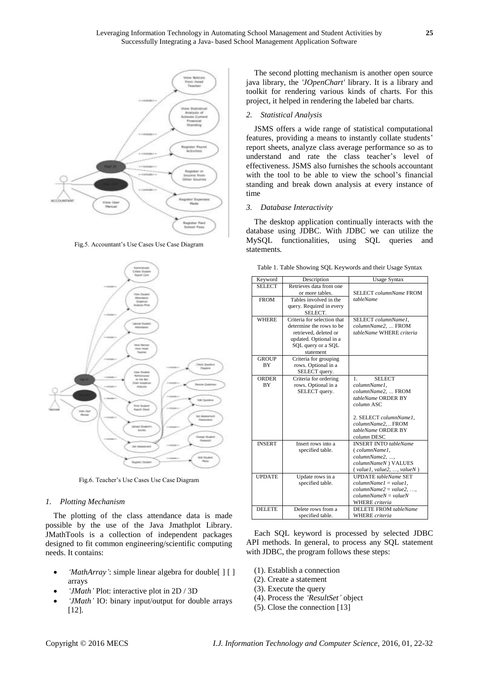

Fig.5. Accountant's Use Cases Use Case Diagram



Fig.6. Teacher's Use Cases Use Case Diagram

#### *1. Plotting Mechanism*

The plotting of the class attendance data is made possible by the use of the Java Jmathplot Library. JMathTools is a collection of independent packages designed to fit common engineering/scientific computing needs. It contains:

- *'MathArray'*: simple linear algebra for double[ ] [ ] arrays
- *'JMath'* Plot: interactive plot in 2D / 3D
- *'JMath'* IO: binary input/output for double arrays [12].

The second plotting mechanism is another open source java library, the *'JOpenChart'* library. It is a library and toolkit for rendering various kinds of charts. For this project, it helped in rendering the labeled bar charts.

#### *2. Statistical Analysis*

JSMS offers a wide range of statistical computational features, providing a means to instantly collate students' report sheets, analyze class average performance so as to understand and rate the class teacher's level of effectiveness. JSMS also furnishes the schools accountant with the tool to be able to view the school's financial standing and break down analysis at every instance of time

#### *3. Database Interactivity*

The desktop application continually interacts with the database using JDBC. With JDBC we can utilize the MySQL functionalities, using SQL queries and statements*.*

Table 1. Table Showing SQL Keywords and their Usage Syntax

| Keyword       | Description                 | <b>Usage Syntax</b>          |
|---------------|-----------------------------|------------------------------|
| <b>SELECT</b> | Retrieves data from one     |                              |
|               | or more tables.             | SELECT columnName FROM       |
| <b>FROM</b>   | Tables involved in the      | tableName                    |
|               | query. Required in every    |                              |
|               | SELECT.                     |                              |
| <b>WHERE</b>  | Criteria for selection that | SELECT columnName1,          |
|               | determine the rows to be    | columnName2,  FROM           |
|               | retrieved, deleted or       | tableName WHERE criteria     |
|               | updated. Optional in a      |                              |
|               | SQL query or a SQL          |                              |
|               | statement                   |                              |
| <b>GROUP</b>  | Criteria for grouping       |                              |
| <b>BY</b>     | rows. Optional in a         |                              |
|               | SELECT query.               |                              |
| ORDER         | Criteria for ordering       | <b>SELECT</b><br>1.          |
| <b>BY</b>     | rows. Optional in a         | columnName1,                 |
|               | SELECT query.               | columnName2,  FROM           |
|               |                             | tableName ORDER BY           |
|               |                             | column ASC                   |
|               |                             | 2. SELECT columnName1,       |
|               |                             | columnName2FROM              |
|               |                             | tableName ORDER BY           |
|               |                             | column DESC                  |
| <b>INSERT</b> | Insert rows into a          | <b>INSERT INTO</b> tableName |
|               | specified table.            | (columnName1,                |
|               |                             | columnName2, ,               |
|               |                             | columnNameN) VALUES          |
|               |                             | (value1, value2, , valueN)   |
| <b>UPDATE</b> | Update rows in a            | <b>UPDATE</b> tableName SET  |
|               | specified table.            | $columnName1 = value1.$      |
|               |                             | $columnName2 = value2, ,$    |
|               |                             | $columnNameN = valueN$       |
|               |                             | <b>WHERE</b> criteria        |
| <b>DELETE</b> | Delete rows from a          | DELETE FROM tableName        |
|               | specified table.            | <b>WHERE</b> criteria        |

Each SQL keyword is processed by selected JDBC API methods. In general, to process any SQL statement with JDBC, the program follows these steps:

- (1). Establish a connection
- (2). Create a statement
- (3). Execute the query
- (4). Process the *'ResultSet'* object
- (5). Close the connection [13]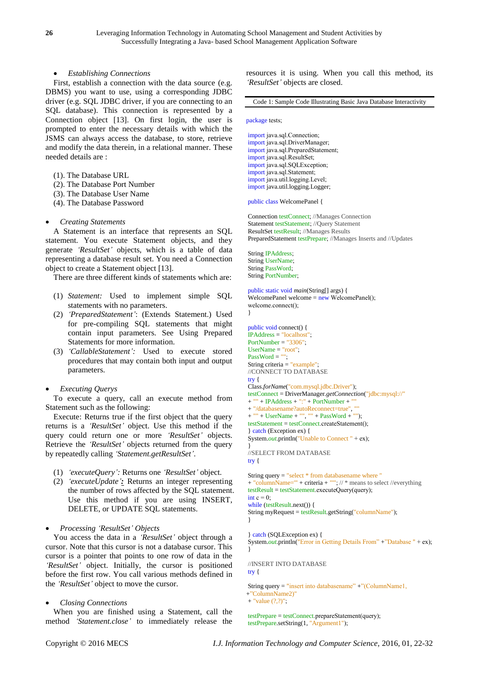*Establishing Connections*

First, establish a connection with the data source (e.g. DBMS) you want to use, using a corresponding JDBC driver (e.g. SQL JDBC driver, if you are connecting to an SQL database). This connection is represented by a Connection object [13]. On first login, the user is prompted to enter the necessary details with which the JSMS can always access the database, to store, retrieve and modify the data therein, in a relational manner. These needed details are :

- (1). The Database URL
- (2). The Database Port Number
- (3). The Database User Name
- (4). The Database Password

## *Creating Statements*

A Statement is an interface that represents an SQL statement. You execute Statement objects, and they generate *'ResultSet'* objects, which is a table of data representing a database result set. You need a Connection object to create a Statement object [13].

There are three different kinds of statements which are:

- (1) *Statement:* Used to implement simple SQL statements with no parameters.
- (2) *'PreparedStatement'*: (Extends Statement.) Used for pre-compiling SQL statements that might contain input parameters. See Using Prepared Statements for more information.
- (3) *'CallableStatement':* Used to execute stored procedures that may contain both input and output parameters.

# *Executing Querys*

To execute a query, call an execute method from Statement such as the following:

Execute: Returns true if the first object that the query returns is a *'ResultSet'* object. Use this method if the query could return one or more *'ResultSet'* objects. Retrieve the *'ResultSet'* objects returned from the query by repeatedly calling *'Statement.getResultSet'*.

- (1) *'executeQuery':* Returns one *'ResultSet'* object.
- (2) *'executeUpdate':* Returns an integer representing the number of rows affected by the SQL statement. Use this method if you are using INSERT, DELETE, or UPDATE SQL statements.

# *Processing 'ResultSet' Objects*

You access the data in a *'ResultSet'* object through a cursor. Note that this cursor is not a database cursor. This cursor is a pointer that points to one row of data in the *'ResultSet'* object. Initially, the cursor is positioned before the first row. You call various methods defined in the *'ResultSet'* object to move the cursor*.*

#### *Closing Connections*

When you are finished using a Statement, call the method *'Statement.close'* to immediately release the resources it is using. When you call this method, its *'ResultSet'* objects are closed.

Code 1: Sample Code Illustrating Basic Java Database Interactivity

#### package tests;

import java.sql.Connection; import java.sql.DriverManager; import java.sql.PreparedStatement; import java.sql.ResultSet; import java.sql.SQLException; import java.sql.Statement; import java.util.logging.Level; import java.util.logging.Logger;

public class WelcomePanel {

Connection testConnect; //Manages Connection Statement testStatement; //Ouery Statement ResultSet testResult; //Manages Results PreparedStatement testPrepare; //Manages Inserts and //Updates

String IPAddress; String UserName; String PassWord; String PortNumber;

```
public static void main(String[] args) {
WelcomePanel welcome = new WelcomePanel();
welcome.connect();
}
```
public void connect() { IPAddress = "localhost"; PortNumber  $=$  "3306": UserName = "root";  $PassWord = "$ String criteria = "example"; //CONNECT TO DATABASE try { Class.*forName*("com.mysql.jdbc.Driver"); testConnect = DriverManager.*getConnection*("jdbc:mysql://" + "" + IPAddress + ":" + PortNumber + "" + "/databasename?autoReconnect=true", "" + "" + UserName + "", "" + PassWord + ""); testStatement = testConnect.createStatement(); } catch (Exception ex) { System.*out*.println("Unable to Connect " + ex); } //SELECT FROM DATABASE try { String query = "select \* from databasename where "

```
+ "columnName='" + criteria + "'"; // * means to select //everything
testResult = testStatement.executeQuery(query);
int c = 0;
while (testResult.next()) {
String myRequest = testResult.getString("columnName");
}
```
} catch (SQLException ex) { System.*out*.println("Error in Getting Details From" +"Database " + ex); }

//INSERT INTO DATABASE

try {

```
String query = "insert into databasename" +"(ColumnName1, 
+"ColumnName2)"
+ "value (?,?)";
```
testPrepare = testConnect.prepareStatement(query); testPrepare.setString(1, "Argument1");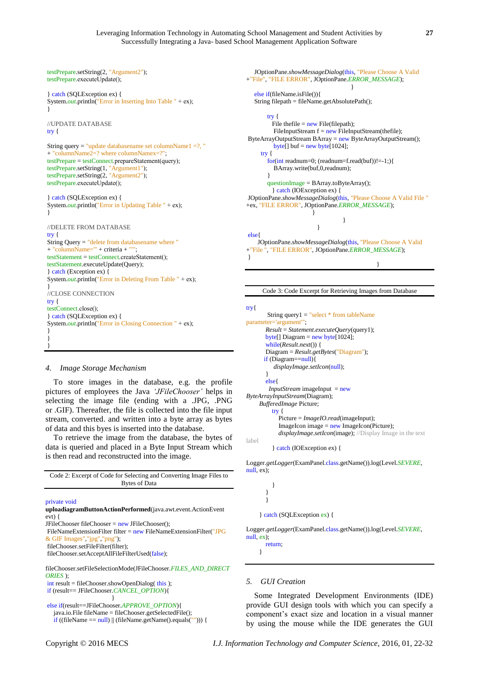```
testPrepare.setString(2, "Argument2");
testPrepare.executeUpdate();
} catch (SQLException ex) {
System.out.println("Error in Inserting Into Table " + ex);
}
//UPDATE DATABASE
try {
String query = "update databasename set columnName1 =?, "
+ "columnName2=? where columnNamex=?";
testPrepare = testConnect.prepareStatement(query);
testPrepare.setString(1, "Argument1");
testPrepare.setString(2, "Argument2");
testPrepare.executeUpdate();
} catch (SQLException ex) {
System.out.println("Error in Updating Table " + ex);
}
//DELETE FROM DATABASE
try {
String Query = "delete from databasename where "
+ "columnName="" + criteria + "'
testStatement = testConnect.createStatement();
testStatement.executeUpdate(Query);
} catch (Exception ex) {
System.out.println("Error in Deleting From Table " + ex);
}
//CLOSE CONNECTION
try {
testConnect.close();
} catch (SQLException ex) {
System.out.println("Error in Closing Connection" + ex);
}
}
```
#### *4. Image Storage Mechanism*

To store images in the database, e.g. the profile pictures of employees the Java *'JFileChooser'* helps in selecting the image file (ending with a .JPG, .PNG or .GIF). Thereafter, the file is collected into the file input stream, converted. and written into a byte array as bytes of data and this byes is inserted into the database.

To retrieve the image from the database, the bytes of data is queried and placed in a Byte Input Stream which is then read and reconstructed into the image.

| Code 2: Excerpt of Code for Selecting and Converting Image Files to |
|---------------------------------------------------------------------|
| Bytes of Data                                                       |
|                                                                     |
|                                                                     |

private void

}

```
uploadiagramButtonActionPerformed(java.awt.event.ActionEvent 
evt) {
```
 $JFileChoose fileChoose = new JFileChoose()$ :

FileNameExtensionFilter filter = new FileNameExtensionFilter("JPG & GIF Images","jpg","png");

fileChooser.setFileFilter(filter);

fileChooser.setAcceptAllFileFilterUsed(false);

fileChooser.setFileSelectionMode(JFileChooser.*FILES\_AND\_DIRECT ORIES* ); int result = fileChooser.showOpenDialog( this );

if (result== JFileChooser.*CANCEL\_OPTION*){

}

else if(result==JFileChooser.*APPROVE\_OPTION*){ java.io.File fileName = fileChooser.getSelectedFile();

if ((fileName == null) || (fileName.getName().equals(""))) {

```
 JOptionPane.showMessageDialog(this, "Please Choose A Valid 
+"File", "FILE ERROR", JOptionPane.ERROR_MESSAGE);
 }
   else if(fileName.isFile()){ 
   String filepath = fileName.getAbsolutePath();
       try {
        File the file = new File (filepath);
        FileInputStream f = new FileInputStream(thefile);
ByteArrayOutputStream BArray = new ByteArrayOutputStream();
        byte[] buf = new byte[1024];
     try {
      for(int readnum=0; (readnum=f.read(buf))!=-1;){
         BArray.write(buf,0,readnum);
 }
       questionImage = BArray.toByteArray(); 
         } catch (IOException ex) {
JOptionPane.showMessageDialog(this, "Please Choose A Valid File "
+ex, "FILE ERROR", JOptionPane.ERROR_MESSAGE);
 } 
 }
 }
else{
    JOptionPane.showMessageDialog(this, "Please Choose A Valid 
+"File ", "FILE ERROR", JOptionPane.ERROR_MESSAGE);
}
```
Code 3: Code Excerpt for Retrieving Images from Database

}

try{

```
 String query1 = "select * from tableName 
parameter='argument'";
        Result = Statement.executeQuery(query1);
        byte[] Diagram = new byte[1024];
        while(Result.next()) {
        Diagram = Result.getBytes("Diagram"); 
       if (Diagram==null){
           displayImage.setIcon(null);
 }
        else{
        InputStream imageInput = new
ByteArrayInputStream(Diagram);
      BufferedImage Picture;
          try {
             Picture = ImageIO.read(imageInput);
            ImageIcon image = new ImageIcon(Picture); displayImage.setIcon(image); //Display Image in the text 
label
           } catch (IOException ex) {
```
Logger.*getLogger*(ExamPanel.class.getName()).log(Level.*SEVERE*, null, ex);



Logger.*getLogger*(ExamPanel.class.getName()).log(Level.*SEVERE*, null, ex);

 return; }

#### *5. GUI Creation*

Some Integrated Development Environments (IDE) provide GUI design tools with which you can specify a component's exact size and location in a visual manner by using the mouse while the IDE generates the GUI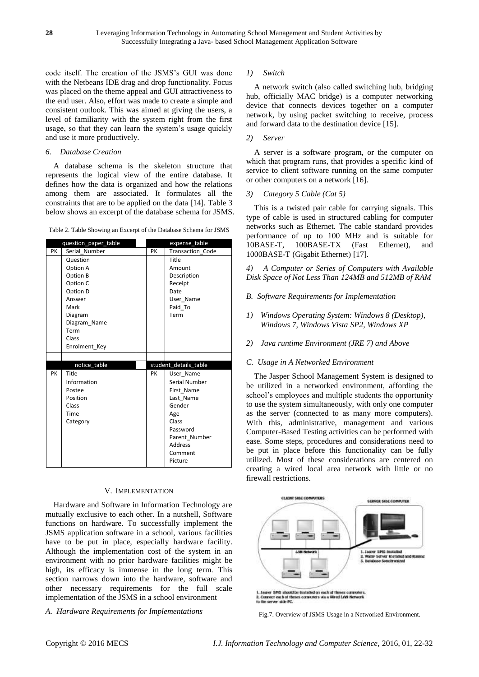code itself. The creation of the JSMS's GUI was done with the Netbeans IDE drag and drop functionality. Focus was placed on the theme appeal and GUI attractiveness to the end user. Also, effort was made to create a simple and consistent outlook. This was aimed at giving the users, a level of familiarity with the system right from the first usage, so that they can learn the system's usage quickly and use it more productively.

## *6. Database Creation*

A database schema is the skeleton structure that represents the logical view of the entire database. It defines how the data is organized and how the relations among them are associated. It formulates all the constraints that are to be applied on the data [14]. Table 3 below shows an excerpt of the database schema for JSMS.

Table 2. Table Showing an Excerpt of the Database Schema for JSMS

|        | question_paper_table |  |    | expense table         |  |
|--------|----------------------|--|----|-----------------------|--|
| PK     | Serial Number        |  | PK | Transaction Code      |  |
|        | Question             |  |    | Title                 |  |
|        | Option A             |  |    | Amount                |  |
|        | Option B             |  |    | Description           |  |
|        | Option C             |  |    | Receipt               |  |
|        | Option D             |  |    | Date                  |  |
| Answer |                      |  |    | User Name             |  |
| Mark   |                      |  |    | Paid To               |  |
|        | Diagram              |  |    | Term                  |  |
|        | Diagram_Name         |  |    |                       |  |
|        | Term                 |  |    |                       |  |
|        | Class                |  |    |                       |  |
|        | Enrolment Key        |  |    |                       |  |
|        |                      |  |    |                       |  |
|        | notice_table         |  |    | student_details_table |  |
| PK     | Title                |  | PK | User Name             |  |
|        | Information          |  |    | Serial Number         |  |
|        | Postee               |  |    | First Name            |  |
|        | Position             |  |    | Last Name             |  |
|        | Class                |  |    | Gender                |  |
|        | Time                 |  |    | Age                   |  |
|        | Category             |  |    | Class                 |  |
|        |                      |  |    | Password              |  |
|        |                      |  |    | Parent Number         |  |
|        |                      |  |    | <b>Address</b>        |  |
|        |                      |  |    | Comment               |  |
|        |                      |  |    | Picture               |  |

#### V. IMPLEMENTATION

Hardware and Software in Information Technology are mutually exclusive to each other. In a nutshell, Software functions on hardware. To successfully implement the JSMS application software in a school, various facilities have to be put in place, especially hardware facility. Although the implementation cost of the system in an environment with no prior hardware facilities might be high, its efficacy is immense in the long term. This section narrows down into the hardware, software and other necessary requirements for the full scale implementation of the JSMS in a school environment

*A. Hardware Requirements for Implementations*

## *1) Switch*

A network switch (also called switching hub, bridging hub, officially MAC bridge) is a computer networking device that connects devices together on a computer network, by using packet switching to receive, process and forward data to the destination device [15].

## *2) Server*

A server is a software program, or the computer on which that program runs, that provides a specific kind of service to client software running on the same computer or other computers on a network [16].

*3) Category 5 Cable (Cat 5)*

This is a twisted pair cable for carrying signals. This type of cable is used in structured cabling for computer networks such as Ethernet. The cable standard provides performance of up to 100 MHz and is suitable for 10BASE-T, 100BASE-TX (Fast Ethernet), and 1000BASE-T (Gigabit Ethernet) [17].

*4) A Computer or Series of Computers with Available Disk Space of Not Less Than 124MB and 512MB of RAM*

- *B. Software Requirements for Implementation*
- *1) Windows Operating System: Windows 8 (Desktop), Windows 7, Windows Vista SP2, Windows XP*
- *2) Java runtime Environment (JRE 7) and Above*

#### *C. Usage in A Networked Environment*

The Jasper School Management System is designed to be utilized in a networked environment, affording the school's employees and multiple students the opportunity to use the system simultaneously, with only one computer as the server (connected to as many more computers). With this, administrative, management and various Computer-Based Testing activities can be performed with ease. Some steps, procedures and considerations need to be put in place before this functionality can be fully utilized. Most of these considerations are centered on creating a wired local area network with little or no firewall restrictions.



Fig.7. Overview of JSMS Usage in a Networked Environment.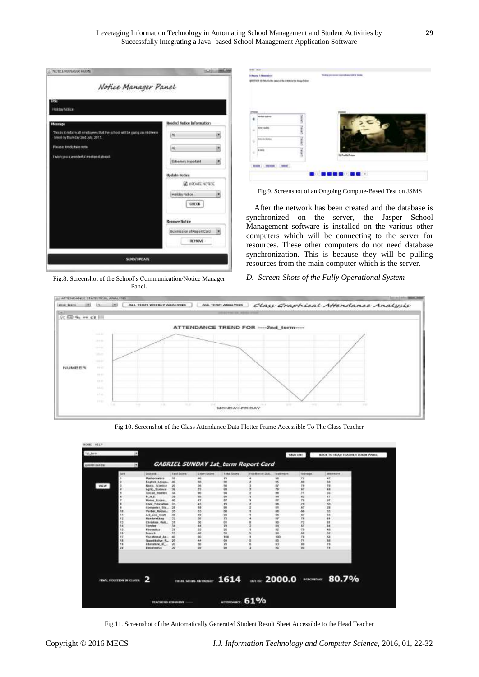

Fig.8. Screenshot of the School's Communication/Notice Manager Panel.



Fig.9. Screenshot of an Ongoing Compute-Based Test on JSMS

After the network has been created and the database is synchronized on the server, the Jasper School Management software is installed on the various other computers which will be connecting to the server for resources. These other computers do not need database synchronization. This is because they will be pulling resources from the main computer which is the server.

# *D. Screen-Shots of the Fully Operational System*



Fig.10. Screenshot of the Class Attendance Data Plotter Frame Accessible To The Class Teacher

| H                        |                                  |               |                       |                                            |                   | SSGN OUT        |                 | BACK TO HEAD TEACHER LOGIN PAREL |
|--------------------------|----------------------------------|---------------|-----------------------|--------------------------------------------|-------------------|-----------------|-----------------|----------------------------------|
| ×<br><b>GERRA SARAW</b>  |                                  |               |                       | <b>GABRIEL SUNDAY 1st_term Report Card</b> |                   |                 |                 |                                  |
| <b>bitvi</b>             | <b>Distance</b>                  | Text Score    | <b>Cram Score</b>     | Total Score                                | Position in Suite | <b>Maximuse</b> | <b>Holzege</b>  | <b>Manufacti</b>                 |
|                          | <b>Magnesia McS</b>              | 38            | 40                    | 'n                                         |                   | w               | 12              | 47                               |
|                          | Engine Lange                     | 48            | 50                    | $\omega$                                   |                   | ú5              | m               | 丝                                |
| <b>VEW</b>               | <b>Renin, Science</b>            | 20            | h                     | tai                                        |                   | ĦΫ              | 7ú              | 31                               |
|                          | April: Science                   | 38            | <b>bi</b>             | s                                          |                   | 'n              | ш               | m                                |
|                          | <b>Bocket Studies</b>            | 14            | 60                    | 94                                         |                   | m               | Ħ               | Ħ                                |
|                          | 乾桂素                              | 38            | isi                   | 94                                         |                   | m               | <b>KZ</b>       | 17                               |
|                          | Notes Proper                     | 41            | ar                    | äř                                         |                   | 82              | $\overline{15}$ | ŧø                               |
|                          | <b>Civic Education</b>           | 33            | 45                    | 76                                         |                   | 88              | TÜ.             | 83                               |
|                          | Commeter, 784.                   | $1 - 28$      | 58                    | 震器                                         |                   | m               | 6T              | 28                               |
| w                        | Verbal Roose                     | 35            | 85                    |                                            |                   | 88              | 88              | 11                               |
| u                        | Art. and Chiff                   | 40            | 98                    | 96                                         |                   | 95              | 67              | 33                               |
| 42                       | Nondwriting                      | 33            | 39                    | T2                                         |                   | sr.             | YB.             | es.                              |
| ٩J                       | Christian Ret.,                  | <b>JE</b>     | 30                    | ዅ                                          |                   | 90              | 12              | ŧ۱                               |
| ١ă                       | <b>Weinglast</b>                 | 34            | 44                    | 70                                         |                   | B4              | KY.             | 44                               |
| 45                       | Phonetics                        | $\mathcal{V}$ | 55                    | 92                                         |                   | 92              | YO.             | 48                               |
| 46                       | Tranch:                          | 53            | 40                    | 53                                         |                   | w               | 68              | 53                               |
| 47                       | Vocational Ag.,                  | 40            | 00                    | 100                                        |                   | 690             | n               | si                               |
| 惟                        | Quantitative R.                  | 79            | 44                    | 66                                         |                   | as:             | $\mathbf{r}$    | sa                               |
| 18                       | Literature in                    | 20            | 50                    | 70                                         |                   | 85              | 90              | m                                |
| ж                        | <b>Euchnotes</b>                 | 30            | <b>SG</b>             | 'sis                                       |                   | 95              | 26              | 34                               |
|                          |                                  |               |                       |                                            |                   |                 |                 |                                  |
|                          |                                  |               |                       |                                            |                   |                 |                 |                                  |
| FINAL POSITION IN CLASS: |                                  |               | TOTAL SCORE ORTAINER: |                                            |                   |                 |                 | 1614 and 2000.0 Maxware 80.7%    |
|                          |                                  |               |                       |                                            |                   |                 |                 |                                  |
|                          | <b>STORY OF SALE AND SHOWERS</b> |               |                       | ATTORONAUE: 61%                            |                   |                 |                 |                                  |

Fig.11. Screenshot of the Automatically Generated Student Result Sheet Accessible to the Head Teacher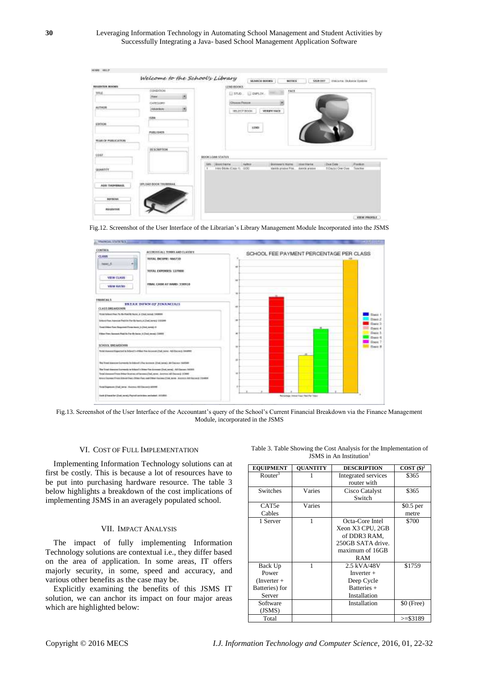| <b>NUMBER SOORS</b><br><b>MAK</b>                             | CONDITION<br>ж<br><b>Time</b> | LEND BOOKS<br><b>FAIR</b><br>ELIMINAL ELEMENTARY                                                                                                                                                                              |
|---------------------------------------------------------------|-------------------------------|-------------------------------------------------------------------------------------------------------------------------------------------------------------------------------------------------------------------------------|
| <b>ALTHOR</b><br>- - -                                        | CATEGORE<br>Abankin:          | ×<br><b>Chuses Fasses</b><br>delivery in the afternative and matter and<br>VERBY FACE<br>185, ECT NODE                                                                                                                        |
| 63/000                                                        | <b>ISBN</b>                   | <b>LDB</b>                                                                                                                                                                                                                    |
| <b>WEAR OF PUBLICATIONS</b>                                   | <b>IRABLIGHTS</b>             |                                                                                                                                                                                                                               |
|                                                               |                               |                                                                                                                                                                                                                               |
|                                                               | <b>BESCRIPTION</b>            | BOOKLOAN STATUS                                                                                                                                                                                                               |
|                                                               |                               | <b>Vulkar</b><br><b>Poster</b><br><b>Bearings of Harris</b><br>Due Cune<br>SHI Boottrans<br><b>LUATTOFIE</b><br>Immy Drives (Citize I) GOO.<br>3 Davis / Over Dire<br>Teacher<br>×<br>the site project Proj.<br>davide groups |
|                                                               | LES CHO BOOK TROMBAGE         |                                                                                                                                                                                                                               |
| COST<br>UUANDIY<br>AUG THOMBRAIL<br>フトリンロウム<br><b>REFRIGE</b> |                               |                                                                                                                                                                                                                               |

Fig.12. Screenshot of the User Interface of the Librarian's Library Management Module Incorporated into the JSMS



Fig.13. Screenshot of the User Interface of the Accountant's query of the School's Current Financial Breakdown via the Finance Management Module, incorporated in the JSMS

#### VI. COST OF FULL IMPLEMENTATION

Implementing Information Technology solutions can at first be costly. This is because a lot of resources have to be put into purchasing hardware resource. The table 3 below highlights a breakdown of the cost implications of implementing JSMS in an averagely populated school.

#### VII. IMPACT ANALYSIS

The impact of fully implementing Information Technology solutions are contextual i.e., they differ based on the area of application. In some areas, IT offers majorly security, in some, speed and accuracy, and various other benefits as the case may be.

Explicitly examining the benefits of this JSMS IT solution, we can anchor its impact on four major areas which are highlighted below:

| Table 3. Table Showing the Cost Analysis for the Implementation of |  |
|--------------------------------------------------------------------|--|
| $JSMS$ in An Institution <sup>1</sup>                              |  |

| <b>EQUIPMENT</b>       | <b>OUANTITY</b> | <b>DESCRIPTION</b>  | COST $(\$)^2$ |
|------------------------|-----------------|---------------------|---------------|
| $R$ outer <sup>3</sup> |                 | Integrated services | \$365         |
|                        |                 | router with         |               |
| Switches               | Varies          | Cisco Catalyst      | \$365         |
|                        |                 | Switch              |               |
| CAT5e                  | Varies          |                     | $$0.5$ per    |
| Cables                 |                 |                     | metre         |
| 1 Server               | 1               | Octa-Core Intel     | \$700         |
|                        |                 | Xeon X3 CPU, 2GB    |               |
|                        |                 | of DDR3 RAM,        |               |
|                        |                 | 250GB SATA drive.   |               |
|                        |                 | maximum of 16GB     |               |
|                        |                 | RAM                 |               |
| Back Up                | 1               | 2.5 kVA/48V         | \$1759        |
| Power                  |                 | $Inverter +$        |               |
| $(Inverter +$          |                 | Deep Cycle          |               |
| Batteries) for         |                 | Batteries +         |               |
| Server                 |                 | Installation        |               |
| Software               |                 | Installation        | $$0$ (Free)   |
| (JSMS)                 |                 |                     |               |
| Total                  |                 |                     | $>=$ \$3189   |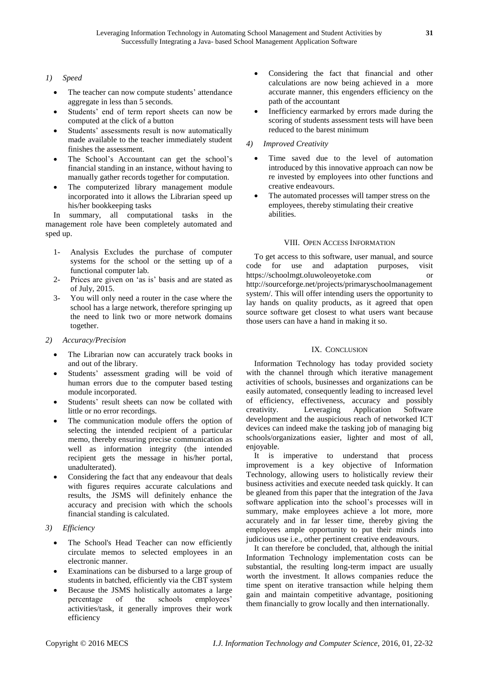# *1) Speed*

- The teacher can now compute students' attendance aggregate in less than 5 seconds.
- Students' end of term report sheets can now be computed at the click of a button
- Students' assessments result is now automatically made available to the teacher immediately student finishes the assessment.
- The School's Accountant can get the school's financial standing in an instance, without having to manually gather records together for computation.
- The computerized library management module incorporated into it allows the Librarian speed up his/her bookkeeping tasks

In summary, all computational tasks in the management role have been completely automated and sped up.

- 1- Analysis Excludes the purchase of computer systems for the school or the setting up of a functional computer lab.
- 2- Prices are given on 'as is' basis and are stated as of July, 2015.
- 3- You will only need a router in the case where the school has a large network, therefore springing up the need to link two or more network domains together.

# *2) Accuracy/Precision*

- The Librarian now can accurately track books in and out of the library.
- Students' assessment grading will be void of human errors due to the computer based testing module incorporated.
- Students' result sheets can now be collated with little or no error recordings.
- The communication module offers the option of selecting the intended recipient of a particular memo, thereby ensuring precise communication as well as information integrity (the intended recipient gets the message in his/her portal, unadulterated).
- Considering the fact that any endeavour that deals with figures requires accurate calculations and results, the JSMS will definitely enhance the accuracy and precision with which the schools financial standing is calculated.

# *3) Efficiency*

- The School's Head Teacher can now efficiently circulate memos to selected employees in an electronic manner.
- Examinations can be disbursed to a large group of students in batched, efficiently via the CBT system
- Because the JSMS holistically automates a large percentage of the schools employees' activities/task, it generally improves their work efficiency
- Considering the fact that financial and other calculations are now being achieved in a more accurate manner, this engenders efficiency on the path of the accountant
- Inefficiency earmarked by errors made during the scoring of students assessment tests will have been reduced to the barest minimum

# *4) Improved Creativity*

- Time saved due to the level of automation introduced by this innovative approach can now be re invested by employees into other functions and creative endeavours.
- The automated processes will tamper stress on the employees, thereby stimulating their creative abilities.

# VIII. OPEN ACCESS INFORMATION

To get access to this software, user manual, and source code for use and adaptation purposes, visit https://schoolmgt.oluwoleoyetoke.com or http://sourceforge.net/projects/primaryschoolmanagement system/. This will offer intending users the opportunity to lay hands on quality products, as it agreed that open source software get closest to what users want because those users can have a hand in making it so.

# IX. CONCLUSION

Information Technology has today provided society with the channel through which iterative management activities of schools, businesses and organizations can be easily automated, consequently leading to increased level of efficiency, effectiveness, accuracy and possibly creativity. Leveraging Application Software development and the auspicious reach of networked ICT devices can indeed make the tasking job of managing big schools/organizations easier, lighter and most of all, enjoyable.

It is imperative to understand that process improvement is a key objective of Information Technology, allowing users to holistically review their business activities and execute needed task quickly. It can be gleaned from this paper that the integration of the Java software application into the school's processes will in summary, make employees achieve a lot more, more accurately and in far lesser time, thereby giving the employees ample opportunity to put their minds into judicious use i.e., other pertinent creative endeavours.

It can therefore be concluded, that, although the initial Information Technology implementation costs can be substantial, the resulting long-term impact are usually worth the investment. It allows companies reduce the time spent on iterative transaction while helping them gain and maintain competitive advantage, positioning them financially to grow locally and then internationally.